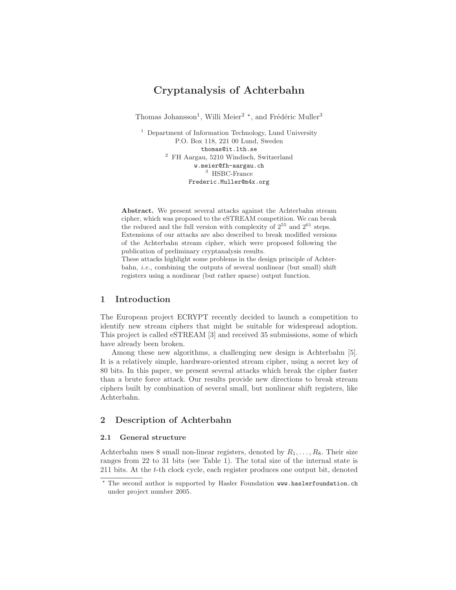# Cryptanalysis of Achterbahn

Thomas Johansson<sup>1</sup>, Willi Meier<sup>2</sup><sup>\*</sup>, and Frédéric Muller<sup>3</sup>

<sup>1</sup> Department of Information Technology, Lund University P.O. Box 118, 221 00 Lund, Sweden thomas@it.lth.se <sup>2</sup> FH Aargau, 5210 Windisch, Switzerland w.meier@fh-aargau.ch  $^3\,$  HSBC-France Frederic.Muller@m4x.org

Abstract. We present several attacks against the Achterbahn stream cipher, which was proposed to the eSTREAM competition. We can break the reduced and the full version with complexity of  $2^{55}$  and  $2^{61}$  steps. Extensions of our attacks are also described to break modified versions of the Achterbahn stream cipher, which were proposed following the publication of preliminary cryptanalysis results.

These attacks highlight some problems in the design principle of Achterbahn, *i.e.*, combining the outputs of several nonlinear (but small) shift registers using a nonlinear (but rather sparse) output function.

# 1 Introduction

The European project ECRYPT recently decided to launch a competition to identify new stream ciphers that might be suitable for widespread adoption. This project is called eSTREAM [3] and received 35 submissions, some of which have already been broken.

Among these new algorithms, a challenging new design is Achterbahn [5]. It is a relatively simple, hardware-oriented stream cipher, using a secret key of 80 bits. In this paper, we present several attacks which break the cipher faster than a brute force attack. Our results provide new directions to break stream ciphers built by combination of several small, but nonlinear shift registers, like Achterbahn.

# 2 Description of Achterbahn

# 2.1 General structure

Achterbahn uses 8 small non-linear registers, denoted by  $R_1, \ldots, R_8$ . Their size ranges from 22 to 31 bits (see Table 1). The total size of the internal state is 211 bits. At the t-th clock cycle, each register produces one output bit, denoted

<sup>⋆</sup> The second author is supported by Hasler Foundation www.haslerfoundation.ch under project number 2005.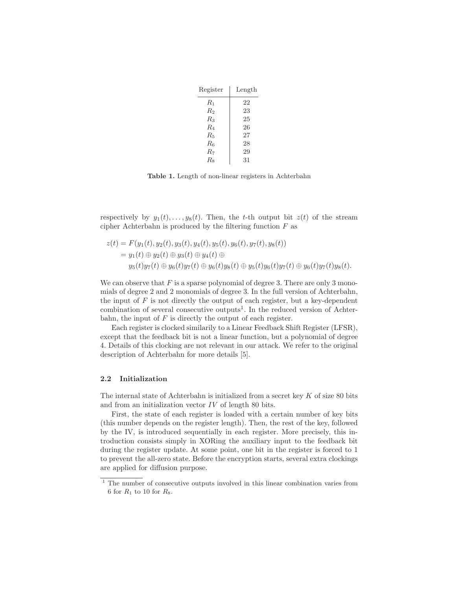| Register    | Length |
|-------------|--------|
| $R_{\rm 1}$ | 22     |
| R2          | 23     |
| $R_3$       | 25     |
| $R_4$       | 26     |
| $R_{5}$     | 27     |
| $R_{\rm 6}$ | 28     |
| $R_{\rm 7}$ | 29     |
| Rs          | 31     |

Table 1. Length of non-linear registers in Achterbahn

respectively by  $y_1(t), \ldots, y_8(t)$ . Then, the t-th output bit  $z(t)$  of the stream cipher Achterbahn is produced by the filtering function  $F$  as

$$
z(t) = F(y_1(t), y_2(t), y_3(t), y_4(t), y_5(t), y_6(t), y_7(t), y_8(t))
$$
  
=  $y_1(t) \oplus y_2(t) \oplus y_3(t) \oplus y_4(t) \oplus$   
 $y_5(t)y_7(t) \oplus y_6(t)y_7(t) \oplus y_6(t)y_8(t) \oplus y_5(t)y_6(t)y_7(t) \oplus y_6(t)y_7(t)y_8(t).$ 

We can observe that  $F$  is a sparse polynomial of degree 3. There are only 3 monomials of degree 2 and 2 monomials of degree 3. In the full version of Achterbahn, the input of  $F$  is not directly the output of each register, but a key-dependent combination of several consecutive outputs<sup>1</sup>. In the reduced version of Achterbahn, the input of  $F$  is directly the output of each register.

Each register is clocked similarily to a Linear Feedback Shift Register (LFSR), except that the feedback bit is not a linear function, but a polynomial of degree 4. Details of this clocking are not relevant in our attack. We refer to the original description of Achterbahn for more details [5].

### 2.2 Initialization

The internal state of Achterbahn is initialized from a secret key  $K$  of size 80 bits and from an initialization vector  $IV$  of length 80 bits.

First, the state of each register is loaded with a certain number of key bits (this number depends on the register length). Then, the rest of the key, followed by the IV, is introduced sequentially in each register. More precisely, this introduction consists simply in XORing the auxiliary input to the feedback bit during the register update. At some point, one bit in the register is forced to 1 to prevent the all-zero state. Before the encryption starts, several extra clockings are applied for diffusion purpose.

<sup>1</sup> The number of consecutive outputs involved in this linear combination varies from 6 for  $R_1$  to 10 for  $R_8$ .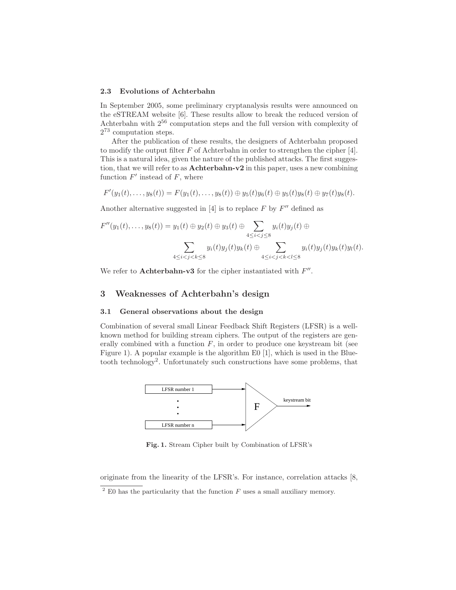### 2.3 Evolutions of Achterbahn

In September 2005, some preliminary cryptanalysis results were announced on the eSTREAM website [6]. These results allow to break the reduced version of Achterbahn with 2<sup>56</sup> computation steps and the full version with complexity of  $2^{73}$  computation steps.

After the publication of these results, the designers of Achterbahn proposed to modify the output filter  $F$  of Achterbahn in order to strengthen the cipher [4]. This is a natural idea, given the nature of the published attacks. The first suggestion, that we will refer to as Achterbahn-v2 in this paper, uses a new combining function  $F'$  instead of  $F$ , where

$$
F'(y_1(t),...,y_8(t)) = F(y_1(t),...,y_8(t)) \oplus y_5(t)y_6(t) \oplus y_5(t)y_8(t) \oplus y_7(t)y_8(t).
$$

Another alternative suggested in  $[4]$  is to replace F by  $F''$  defined as

$$
F''(y_1(t),...,y_8(t)) = y_1(t) \oplus y_2(t) \oplus y_3(t) \oplus \sum_{4 \leq i < j \leq 8} y_i(t)y_j(t) \oplus \sum_{4 \leq i < j < k \leq 8} y_i(t)y_j(t)y_k(t) \oplus \sum_{4 \leq i < j < k \leq 8} y_i(t)y_j(t)y_k(t) \oplus \sum_{4 \leq i < j < k \leq 8} y_i(t)y_j(t)y_k(t) \oplus \sum_{4 \leq i < j < k \leq 8} y_i(t)y_j(t)y_k(t) \oplus \sum_{4 \leq i < j < k \leq 8} y_i(t)y_j(t)y_k(t) \oplus \sum_{4 \leq i < j < k \leq 8} y_i(t)y_j(t)y_k(t) \oplus \sum_{4 \leq i < j < k \leq 8} y_i(t)y_j(t)y_k(t) \oplus \sum_{4 \leq i < j < k \leq 8} y_i(t)y_j(t)y_k(t) \oplus \sum_{4 \leq i < j < k \leq 8} y_i(t)y_j(t)y_k(t) \oplus \sum_{4 \leq i < j < k \leq 8} y_i(t)y_j(t)y_k(t) \oplus \sum_{4 \leq i < j < k \leq 8} y_i(t)y_j(t)y_k(t) \oplus \sum_{4 \leq i < j < k \leq 8} y_i(t)y_j(t) \oplus \sum_{4 \leq i < j < k \leq 8} y_i(t)y_j(t) \oplus \sum_{4 \leq i < j < k \leq 8} y_i(t)y_k(t) \oplus \sum_{4 \leq i < j < k \leq 8} y_i(t)y_k(t) \oplus \sum_{4 \leq i < j < k \leq 8} y_i(t)y_k(t) \oplus \sum_{4 \leq i < j < k \leq 8} y_i(t)y_k(t) \oplus \sum_{4 \leq i < j < k \leq 8} y_i(t)y_k(t) \oplus \sum_{4 \leq i < j < k \leq 8} y_i(t) \oplus \sum_{4 \leq i < j < k \leq 8} y_i(t) \oplus \sum_{4 \leq i < j < k \leq 8} y_i(t
$$

We refer to Achterbahn-v3 for the cipher instantiated with  $F''$ .

## 3 Weaknesses of Achterbahn's design

### 3.1 General observations about the design

Combination of several small Linear Feedback Shift Registers (LFSR) is a wellknown method for building stream ciphers. The output of the registers are generally combined with a function  $F$ , in order to produce one keystream bit (see Figure 1). A popular example is the algorithm E0 [1], which is used in the Bluetooth technology<sup>2</sup>. Unfortunately such constructions have some problems, that



Fig. 1. Stream Cipher built by Combination of LFSR's

originate from the linearity of the LFSR's. For instance, correlation attacks [8,

 $2$  E0 has the particularity that the function F uses a small auxiliary memory.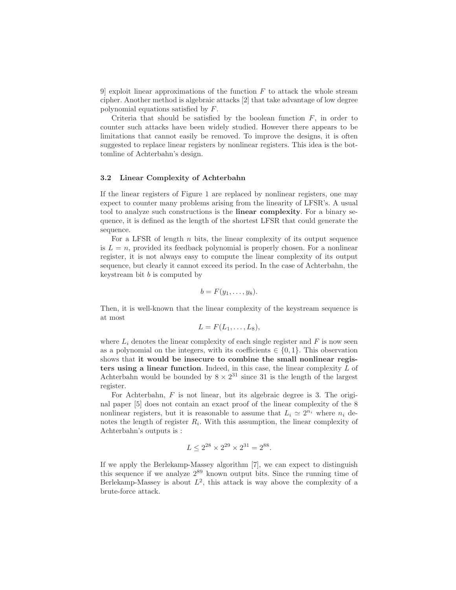9 exploit linear approximations of the function  $F$  to attack the whole stream cipher. Another method is algebraic attacks [2] that take advantage of low degree polynomial equations satisfied by F.

Criteria that should be satisfied by the boolean function  $F$ , in order to counter such attacks have been widely studied. However there appears to be limitations that cannot easily be removed. To improve the designs, it is often suggested to replace linear registers by nonlinear registers. This idea is the bottomline of Achterbahn's design.

## 3.2 Linear Complexity of Achterbahn

If the linear registers of Figure 1 are replaced by nonlinear registers, one may expect to counter many problems arising from the linearity of LFSR's. A usual tool to analyze such constructions is the linear complexity. For a binary sequence, it is defined as the length of the shortest LFSR that could generate the sequence.

For a LFSR of length  $n$  bits, the linear complexity of its output sequence is  $L = n$ , provided its feedback polynomial is properly chosen. For a nonlinear register, it is not always easy to compute the linear complexity of its output sequence, but clearly it cannot exceed its period. In the case of Achterbahn, the keystream bit  $b$  is computed by

$$
b=F(y_1,\ldots,y_8).
$$

Then, it is well-known that the linear complexity of the keystream sequence is at most

$$
L = F(L_1, \ldots, L_8),
$$

where  $L_i$  denotes the linear complexity of each single register and  $F$  is now seen as a polynomial on the integers, with its coefficients  $\in \{0, 1\}$ . This observation shows that it would be insecure to combine the small nonlinear registers using a linear function. Indeed, in this case, the linear complexity  $L$  of Achterbahn would be bounded by  $8 \times 2^{31}$  since 31 is the length of the largest register.

For Achterbahn, F is not linear, but its algebraic degree is 3. The original paper [5] does not contain an exact proof of the linear complexity of the 8 nonlinear registers, but it is reasonable to assume that  $L_i \simeq 2^{n_i}$  where  $n_i$  denotes the length of register  $R_i$ . With this assumption, the linear complexity of Achterbahn's outputs is :

$$
L \leq 2^{28} \times 2^{29} \times 2^{31} = 2^{88}.
$$

If we apply the Berlekamp-Massey algorithm [7], we can expect to distinguish this sequence if we analyze  $2^{89}$  known output bits. Since the running time of Berlekamp-Massey is about  $L^2$ , this attack is way above the complexity of a brute-force attack.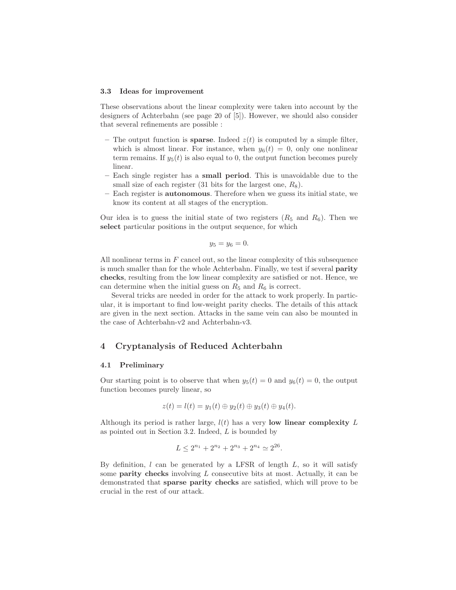#### 3.3 Ideas for improvement

These observations about the linear complexity were taken into account by the designers of Achterbahn (see page 20 of [5]). However, we should also consider that several refinements are possible :

- The output function is **sparse**. Indeed  $z(t)$  is computed by a simple filter, which is almost linear. For instance, when  $y_6(t) = 0$ , only one nonlinear term remains. If  $y_5(t)$  is also equal to 0, the output function becomes purely linear.
- Each single register has a small period. This is unavoidable due to the small size of each register  $(31 \text{ bits for the largest one}, R_8)$ .
- Each register is autonomous. Therefore when we guess its initial state, we know its content at all stages of the encryption.

Our idea is to guess the initial state of two registers  $(R_5 \text{ and } R_6)$ . Then we select particular positions in the output sequence, for which

$$
y_5=y_6=0.
$$

All nonlinear terms in  $F$  cancel out, so the linear complexity of this subsequence is much smaller than for the whole Achterbahn. Finally, we test if several parity checks, resulting from the low linear complexity are satisfied or not. Hence, we can determine when the initial guess on  $R_5$  and  $R_6$  is correct.

Several tricks are needed in order for the attack to work properly. In particular, it is important to find low-weight parity checks. The details of this attack are given in the next section. Attacks in the same vein can also be mounted in the case of Achterbahn-v2 and Achterbahn-v3.

# 4 Cryptanalysis of Reduced Achterbahn

#### 4.1 Preliminary

Our starting point is to observe that when  $y_5(t) = 0$  and  $y_6(t) = 0$ , the output function becomes purely linear, so

$$
z(t) = l(t) = y_1(t) \oplus y_2(t) \oplus y_3(t) \oplus y_4(t).
$$

Although its period is rather large,  $l(t)$  has a very low linear complexity L as pointed out in Section 3.2. Indeed, L is bounded by

$$
L \le 2^{n_1} + 2^{n_2} + 2^{n_3} + 2^{n_4} \simeq 2^{26}.
$$

By definition,  $l$  can be generated by a LFSR of length  $L$ , so it will satisfy some **parity checks** involving  $L$  consecutive bits at most. Actually, it can be demonstrated that sparse parity checks are satisfied, which will prove to be crucial in the rest of our attack.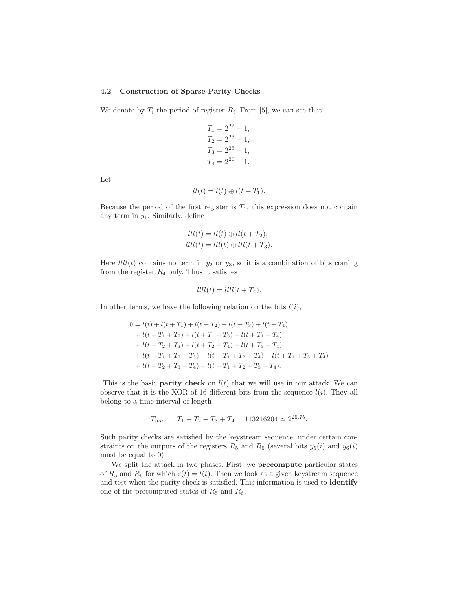### 4.2 Construction of Sparse Parity Checks

We denote by  $T_i$  the period of register  $R_i$ . From [5], we can see that

$$
T_1 = 2^{22} - 1,
$$
  
\n
$$
T_2 = 2^{23} - 1,
$$
  
\n
$$
T_3 = 2^{25} - 1,
$$
  
\n
$$
T_4 = 2^{26} - 1.
$$

Let

$$
ll(t) = l(t) \oplus l(t + T_1).
$$

Because the period of the first register is  $T_1$ , this expression does not contain any term in  $y_1$ . Similarly, define

$$
lll(t) = ll(t) \oplus ll(t + T_2),
$$
  

$$
lll(t) = lll(t) \oplus lll(t + T_3).
$$

Here  $lll(t)$  contains no term in  $y_2$  or  $y_3$ , so it is a combination of bits coming from the register  $R_4$  only. Thus it satisfies

$$
llll(t) = llll(t + T_4).
$$

In other terms, we have the following relation on the bits  $l(i)$ ,

$$
0 = l(t) + l(t + T_1) + l(t + T_2) + l(t + T_3) + l(t + T_4)
$$
  
+ 
$$
l(t + T_1 + T_2) + l(t + T_1 + T_3) + l(t + T_1 + T_4)
$$
  
+ 
$$
l(t + T_2 + T_3) + l(t + T_2 + T_4) + l(t + T_3 + T_4)
$$
  
+ 
$$
l(t + T_1 + T_2 + T_3) + l(t + T_1 + T_2 + T_4) + l(t + T_1 + T_3 + T_4)
$$
  
+ 
$$
l(t + T_2 + T_3 + T_4) + l(t + T_1 + T_2 + T_3 + T_4).
$$

This is the basic **parity check** on  $l(t)$  that we will use in our attack. We can observe that it is the XOR of 16 different bits from the sequence  $l(i)$ . They all belong to a time interval of length

$$
T_{max} = T_1 + T_2 + T_3 + T_4 = 113246204 \simeq 2^{26.75}.
$$

Such parity checks are satisfied by the keystream sequence, under certain constraints on the outputs of the registers  $R_5$  and  $R_6$  (several bits  $y_5(i)$  and  $y_6(i)$ ) must be equal to 0).

We split the attack in two phases. First, we precompute particular states of  $R_5$  and  $R_6$  for which  $z(t) = l(t)$ . Then we look at a given keystream sequence and test when the parity check is satisfied. This information is used to identify one of the precomputed states of  $R_5$  and  $R_6$ .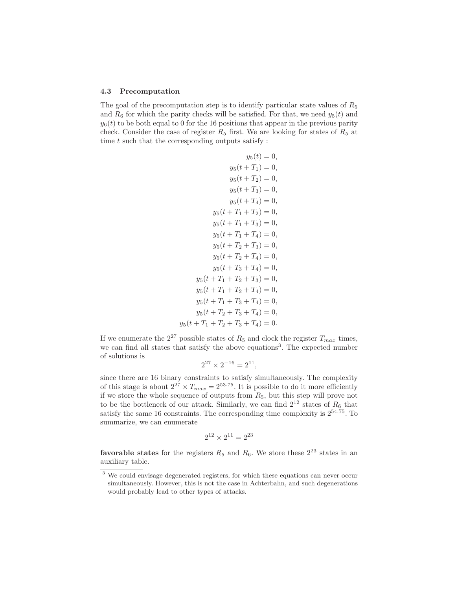### 4.3 Precomputation

The goal of the precomputation step is to identify particular state values of  $R_5$ and  $R_6$  for which the parity checks will be satisfied. For that, we need  $y_5(t)$  and  $y_6(t)$  to be both equal to 0 for the 16 positions that appear in the previous parity check. Consider the case of register  $R_5$  first. We are looking for states of  $R_5$  at time  $t$  such that the corresponding outputs satisfy :

$$
y_5(t) = 0,
$$
  
\n
$$
y_5(t + T_1) = 0,
$$
  
\n
$$
y_5(t + T_2) = 0,
$$
  
\n
$$
y_5(t + T_3) = 0,
$$
  
\n
$$
y_5(t + T_4) = 0,
$$
  
\n
$$
y_5(t + T_1 + T_2) = 0,
$$
  
\n
$$
y_5(t + T_1 + T_3) = 0,
$$
  
\n
$$
y_5(t + T_1 + T_4) = 0,
$$
  
\n
$$
y_5(t + T_2 + T_3) = 0,
$$
  
\n
$$
y_5(t + T_2 + T_4) = 0,
$$
  
\n
$$
y_5(t + T_1 + T_2 + T_3) = 0,
$$
  
\n
$$
y_5(t + T_1 + T_2 + T_4) = 0,
$$
  
\n
$$
y_5(t + T_1 + T_3 + T_4) = 0,
$$
  
\n
$$
y_5(t + T_2 + T_3 + T_4) = 0,
$$
  
\n
$$
y_5(t + T_1 + T_2 + T_3 + T_4) = 0,
$$
  
\n
$$
y_5(t + T_1 + T_2 + T_3 + T_4) = 0.
$$

If we enumerate the  $2^{27}$  possible states of  $R_5$  and clock the register  $T_{max}$  times, we can find all states that satisfy the above equations<sup>3</sup>. The expected number of solutions is

$$
2^{27} \times 2^{-16} = 2^{11},
$$

since there are 16 binary constraints to satisfy simultaneously. The complexity of this stage is about  $2^{27} \times T_{max} = 2^{53.75}$ . It is possible to do it more efficiently if we store the whole sequence of outputs from  $R_5$ , but this step will prove not to be the bottleneck of our attack. Similarly, we can find  $2^{12}$  states of  $R_6$  that satisfy the same 16 constraints. The corresponding time complexity is  $2^{54.75}$ . To summarize, we can enumerate

$$
2^{12} \times 2^{11} = 2^{23}
$$

**favorable states** for the registers  $R_5$  and  $R_6$ . We store these  $2^{23}$  states in an auxiliary table.

<sup>&</sup>lt;sup>3</sup> We could envisage degenerated registers, for which these equations can never occur simultaneously. However, this is not the case in Achterbahn, and such degenerations would probably lead to other types of attacks.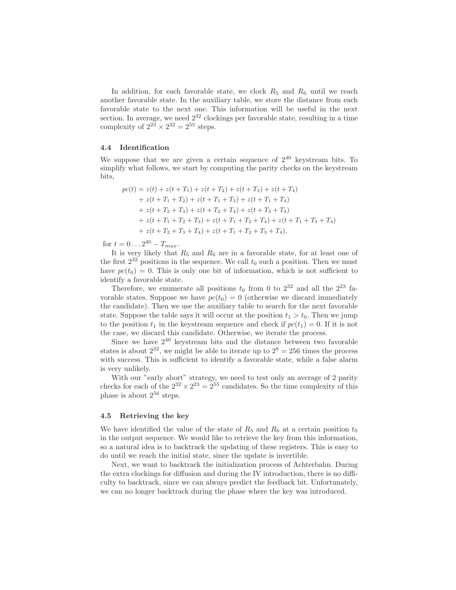In addition, for each favorable state, we clock  $R_5$  and  $R_6$  until we reach another favorable state. In the auxiliary table, we store the distance from each favorable state to the next one. This information will be useful in the next section. In average, we need  $2^{32}$  clockings per favorable state, resulting in a time complexity of  $2^{23} \times 2^{32} = 2^{55}$  steps.

### 4.4 Identification

We suppose that we are given a certain sequence of  $2^{40}$  keystream bits. To simplify what follows, we start by computing the parity checks on the keystream bits,

$$
pc(t) = z(t) + z(t + T_1) + z(t + T_2) + z(t + T_3) + z(t + T_4)
$$
  
+ z(t + T\_1 + T\_2) + z(t + T\_1 + T\_3) + z(t + T\_1 + T\_4)  
+ z(t + T\_2 + T\_3) + z(t + T\_2 + T\_4) + z(t + T\_3 + T\_4)  
+ z(t + T\_1 + T\_2 + T\_3) + z(t + T\_1 + T\_2 + T\_4) + z(t + T\_1 + T\_3 + T\_4)  
+ z(t + T\_2 + T\_3 + T\_4) + z(t + T\_1 + T\_2 + T\_3 + T\_4),

for  $t = 0...2^{40} - T_{max}$ .

It is very likely that  $R_5$  and  $R_6$  are in a favorable state, for at least one of the first  $2^{32}$  positions in the sequence. We call  $t_0$  such a position. Then we must have  $pc(t_0) = 0$ . This is only one bit of information, which is not sufficient to identify a favorable state.

Therefore, we enumerate all positions  $t_0$  from 0 to  $2^{32}$  and all the  $2^{23}$  favorable states. Suppose we have  $pc(t_0) = 0$  (otherwise we discard immediately the candidate). Then we use the auxiliary table to search for the next favorable state. Suppose the table says it will occur at the position  $t_1 > t_0$ . Then we jump to the position  $t_1$  in the keystream sequence and check if  $pc(t_1) = 0$ . If it is not the case, we discard this candidate. Otherwise, we iterate the process.

Since we have  $2^{40}$  keystream bits and the distance between two favorable states is about  $2^{32}$ , we might be able to iterate up to  $2^8 = 256$  times the process with success. This is sufficient to identify a favorable state, while a false alarm is very unlikely.

With our "early abort" strategy, we need to test only an average of 2 parity checks for each of the  $2^{32} \times 2^{23} = 2^{55}$  candidates. So the time complexity of this phase is about  $2^{56}$  steps.

#### 4.5 Retrieving the key

We have identified the value of the state of  $R_5$  and  $R_6$  at a certain position  $t_0$ in the output sequence. We would like to retrieve the key from this information, so a natural idea is to backtrack the updating of these registers. This is easy to do until we reach the initial state, since the update is invertible.

Next, we want to backtrack the initialization process of Achterbahn. During the extra clockings for diffusion and during the IV introduction, there is no difficulty to backtrack, since we can always predict the feedback bit. Unfortunately, we can no longer backtrack during the phase where the key was introduced.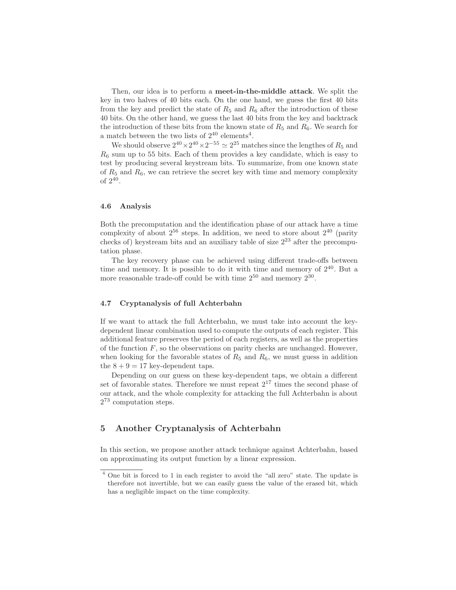Then, our idea is to perform a meet-in-the-middle attack. We split the key in two halves of 40 bits each. On the one hand, we guess the first 40 bits from the key and predict the state of  $R_5$  and  $R_6$  after the introduction of these 40 bits. On the other hand, we guess the last 40 bits from the key and backtrack the introduction of these bits from the known state of  $R_5$  and  $R_6$ . We search for a match between the two lists of  $2^{40}$  elements<sup>4</sup>.

We should observe  $2^{40} \times 2^{40} \times 2^{-55} \simeq 2^{25}$  matches since the lengthes of  $R_5$  and  $R<sub>6</sub>$  sum up to 55 bits. Each of them provides a key candidate, which is easy to test by producing several keystream bits. To summarize, from one known state of  $R_5$  and  $R_6$ , we can retrieve the secret key with time and memory complexity of  $2^{40}$ .

# 4.6 Analysis

Both the precomputation and the identification phase of our attack have a time complexity of about  $2^{56}$  steps. In addition, we need to store about  $2^{40}$  (parity checks of) keystream bits and an auxiliary table of size  $2^{23}$  after the precomputation phase.

The key recovery phase can be achieved using different trade-offs between time and memory. It is possible to do it with time and memory of  $2^{40}$ . But a more reasonable trade-off could be with time  $2^{50}$  and memory  $2^{30}$ .

# 4.7 Cryptanalysis of full Achterbahn

If we want to attack the full Achterbahn, we must take into account the keydependent linear combination used to compute the outputs of each register. This additional feature preserves the period of each registers, as well as the properties of the function  $F$ , so the observations on parity checks are unchanged. However, when looking for the favorable states of  $R_5$  and  $R_6$ , we must guess in addition the  $8 + 9 = 17$  key-dependent taps.

Depending on our guess on these key-dependent taps, we obtain a different set of favorable states. Therefore we must repeat  $2^{17}$  times the second phase of our attack, and the whole complexity for attacking the full Achterbahn is about 2 <sup>73</sup> computation steps.

# 5 Another Cryptanalysis of Achterbahn

In this section, we propose another attack technique against Achterbahn, based on approximating its output function by a linear expression.

<sup>4</sup> One bit is forced to 1 in each register to avoid the "all zero" state. The update is therefore not invertible, but we can easily guess the value of the erased bit, which has a negligible impact on the time complexity.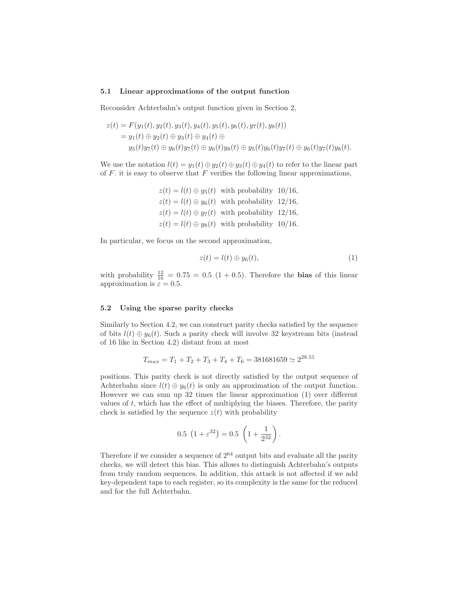### 5.1 Linear approximations of the output function

Reconsider Achterbahn's output function given in Section 2,

$$
z(t) = F(y_1(t), y_2(t), y_3(t), y_4(t), y_5(t), y_6(t), y_7(t), y_8(t))
$$
  
=  $y_1(t) \oplus y_2(t) \oplus y_3(t) \oplus y_4(t) \oplus$   
 $y_5(t)y_7(t) \oplus y_6(t)y_7(t) \oplus y_6(t)y_8(t) \oplus y_5(t)y_6(t)y_7(t) \oplus y_6(t)y_7(t)y_8(t).$ 

We use the notation  $l(t) = y_1(t) \oplus y_2(t) \oplus y_3(t) \oplus y_4(t)$  to refer to the linear part of  $F$ . it is easy to observe that  $F$  verifies the following linear approximations,

> $z(t) = l(t) \oplus y_5(t)$  with probability 10/16,  $z(t) = l(t) \oplus y_6(t)$  with probability 12/16,  $z(t) = l(t) \oplus y_7(t)$  with probability 12/16,  $z(t) = l(t) \oplus y_8(t)$  with probability 10/16.

In particular, we focus on the second approximation,

$$
z(t) = l(t) \oplus y_6(t), \tag{1}
$$

with probability  $\frac{12}{16} = 0.75 = 0.5 (1 + 0.5)$ . Therefore the **bias** of this linear approximation is  $\tilde{\varepsilon} = 0.5$ .

### 5.2 Using the sparse parity checks

Similarly to Section 4.2, we can construct parity checks satisfied by the sequence of bits  $l(t) \oplus y_6(t)$ . Such a parity check will involve 32 keystream bits (instead of 16 like in Section 4.2) distant from at most

$$
T_{max} = T_1 + T_2 + T_3 + T_4 + T_6 = 381681659 \approx 2^{28.51}
$$

positions. This parity check is not directly satisfied by the output sequence of Achterbahn since  $l(t) \oplus y_6(t)$  is only an approximation of the output function. However we can sum up 32 times the linear approximation (1) over different values of t, which has the effect of multiplying the biases. Therefore, the parity check is satisfied by the sequence  $z(t)$  with probability

$$
0.5 \left(1 + \varepsilon^{32}\right) = 0.5 \left(1 + \frac{1}{2^{32}}\right).
$$

Therefore if we consider a sequence of  $2^{64}$  output bits and evaluate all the parity checks, we will detect this bias. This allows to distinguish Achterbahn's outputs from truly random sequences. In addition, this attack is not affected if we add key-dependent taps to each register, so its complexity is the same for the reduced and for the full Achterbahn.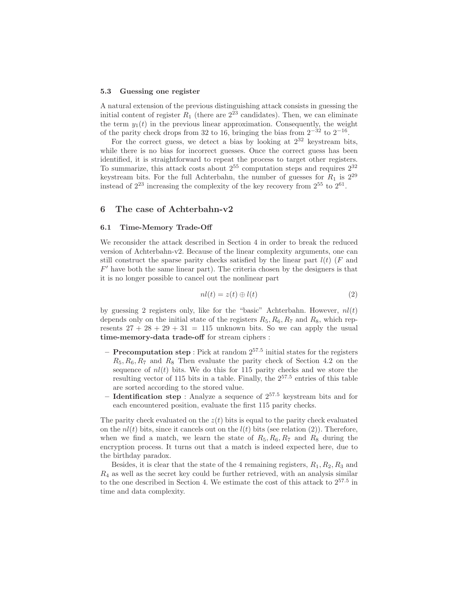### 5.3 Guessing one register

A natural extension of the previous distinguishing attack consists in guessing the initial content of register  $R_1$  (there are  $2^{23}$  candidates). Then, we can eliminate the term  $y_1(t)$  in the previous linear approximation. Consequently, the weight of the parity check drops from 32 to 16, bringing the bias from  $2^{-32}$  to  $2^{-16}$ .

For the correct guess, we detect a bias by looking at  $2^{32}$  keystream bits, while there is no bias for incorrect guesses. Once the correct guess has been identified, it is straightforward to repeat the process to target other registers. To summarize, this attack costs about  $2^{55}$  computation steps and requires  $2^{32}$ keystream bits. For the full Achterbahn, the number of guesses for  $R_1$  is  $2^{29}$ instead of  $2^{23}$  increasing the complexity of the key recovery from  $2^{55}$  to  $2^{61}$ .

# 6 The case of Achterbahn-v2

#### 6.1 Time-Memory Trade-Off

We reconsider the attack described in Section 4 in order to break the reduced version of Achterbahn-v2. Because of the linear complexity arguments, one can still construct the sparse parity checks satisfied by the linear part  $l(t)$  (F and  $F'$  have both the same linear part). The criteria chosen by the designers is that it is no longer possible to cancel out the nonlinear part

$$
nl(t) = z(t) \oplus l(t) \tag{2}
$$

by guessing 2 registers only, like for the "basic" Achterbahn. However,  $nl(t)$ depends only on the initial state of the registers  $R_5, R_6, R_7$  and  $R_8$ , which represents  $27 + 28 + 29 + 31 = 115$  unknown bits. So we can apply the usual time-memory-data trade-off for stream ciphers :

- **Precomputation step**: Pick at random  $2^{57.5}$  initial states for the registers  $R_5, R_6, R_7$  and  $R_8$  Then evaluate the parity check of Section 4.2 on the sequence of  $nl(t)$  bits. We do this for 115 parity checks and we store the resulting vector of 115 bits in a table. Finally, the  $2^{57.5}$  entries of this table are sorted according to the stored value.
- **Identification step** : Analyze a sequence of  $2^{57.5}$  keystream bits and for each encountered position, evaluate the first 115 parity checks.

The parity check evaluated on the  $z(t)$  bits is equal to the parity check evaluated on the  $nl(t)$  bits, since it cancels out on the  $l(t)$  bits (see relation (2)). Therefore, when we find a match, we learn the state of  $R_5, R_6, R_7$  and  $R_8$  during the encryption process. It turns out that a match is indeed expected here, due to the birthday paradox.

Besides, it is clear that the state of the 4 remaining registers,  $R_1, R_2, R_3$  and  $R_4$  as well as the secret key could be further retrieved, with an analysis similar to the one described in Section 4. We estimate the cost of this attack to  $2^{57.5}$  in time and data complexity.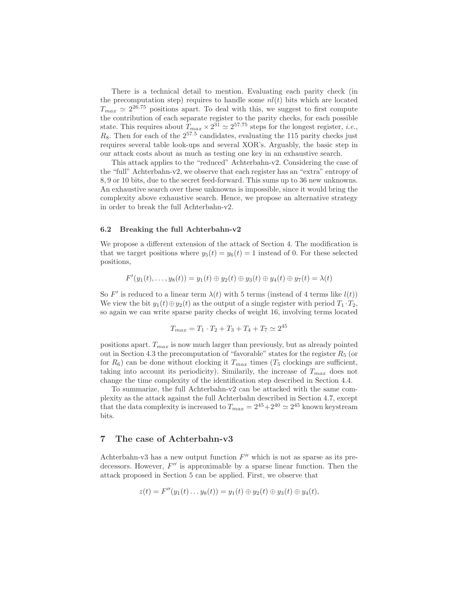There is a technical detail to mention. Evaluating each parity check (in the precomputation step) requires to handle some  $nl(t)$  bits which are located  $T_{max} \simeq 2^{26.75}$  positions apart. To deal with this, we suggest to first compute the contribution of each separate register to the parity checks, for each possible state. This requires about  $T_{max} \times 2^{31} \simeq 2^{57.75}$  steps for the longest register, *i.e.*,  $R_8$ . Then for each of the  $2^{57.5}$  candidates, evaluating the 115 parity checks just requires several table look-ups and several XOR's. Arguably, the basic step in our attack costs about as much as testing one key in an exhaustive search.

This attack applies to the "reduced" Achterbahn-v2. Considering the case of the "full" Achterbahn-v2, we observe that each register has an "extra" entropy of 8, 9 or 10 bits, due to the secret feed-forward. This sums up to 36 new unknowns. An exhaustive search over these unknowns is impossible, since it would bring the complexity above exhaustive search. Hence, we propose an alternative strategy in order to break the full Achterbahn-v2.

### 6.2 Breaking the full Achterbahn-v2

We propose a different extension of the attack of Section 4. The modification is that we target positions where  $y_5(t) = y_6(t) = 1$  instead of 0. For these selected positions,

$$
F'(y_1(t),...,y_8(t)) = y_1(t) \oplus y_2(t) \oplus y_3(t) \oplus y_4(t) \oplus y_7(t) = \lambda(t)
$$

So F' is reduced to a linear term  $\lambda(t)$  with 5 terms (instead of 4 terms like  $l(t)$ ) We view the bit  $y_1(t) \oplus y_2(t)$  as the output of a single register with period  $T_1 \cdot T_2$ , so again we can write sparse parity checks of weight 16, involving terms located

$$
T_{max} = T_1 \cdot T_2 + T_3 + T_4 + T_7 \simeq 2^{45}
$$

positions apart.  $T_{max}$  is now much larger than previously, but as already pointed out in Section 4.3 the precomputation of "favorable" states for the register  $R_5$  (or for  $R_6$ ) can be done without clocking it  $T_{max}$  times ( $T_5$  clockings are sufficient, taking into account its periodicity). Similarly, the increase of  $T_{max}$  does not change the time complexity of the identification step described in Section 4.4.

To summarize, the full Achterbahn-v2 can be attacked with the same complexity as the attack against the full Achterbahn described in Section 4.7, except that the data complexity is increased to  $T_{max} = 2^{45} + 2^{40} \simeq 2^{45}$  known keystream bits.

# 7 The case of Achterbahn-v3

Achterbahn-v3 has a new output function  $F''$  which is not as sparse as its predecessors. However,  $F''$  is approximable by a sparse linear function. Then the attack proposed in Section 5 can be applied. First, we observe that

$$
z(t) = F''(y_1(t) \dots y_8(t)) = y_1(t) \oplus y_2(t) \oplus y_3(t) \oplus y_4(t),
$$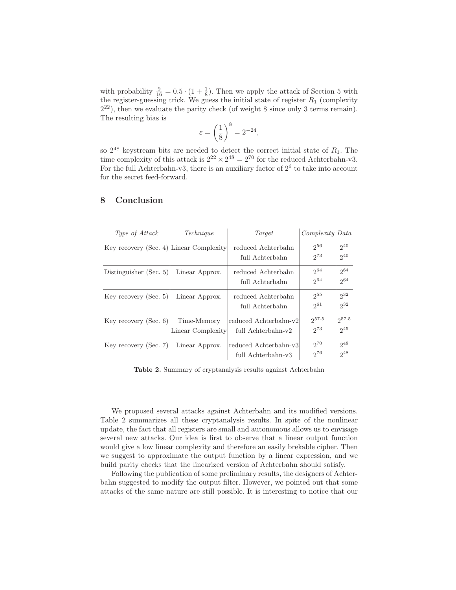with probability  $\frac{9}{16} = 0.5 \cdot (1 + \frac{1}{8})$ . Then we apply the attack of Section 5 with the register-guessing trick. We guess the initial state of register  $R_1$  (complexity 2 <sup>22</sup>), then we evaluate the parity check (of weight 8 since only 3 terms remain). The resulting bias is

$$
\varepsilon = \left(\frac{1}{8}\right)^8 = 2^{-24},
$$

so  $2^{48}$  keystream bits are needed to detect the correct initial state of  $R_1$ . The time complexity of this attack is  $2^{22} \times 2^{48} = 2^{70}$  for the reduced Achterbahn-v3. For the full Achterbahn-v3, there is an auxiliary factor of  $2^6$  to take into account for the secret feed-forward.

| Type of Attack                          | Technique                        | Target                                      | Complexity  Data       |                        |
|-----------------------------------------|----------------------------------|---------------------------------------------|------------------------|------------------------|
| Key recovery (Sec. 4) Linear Complexity |                                  | reduced Achterbahn<br>full Achterbahn       | $2^{56}$<br>$2^{73}$   | $2^{40}$<br>$2^{40}$   |
| Distinguisher (Sec. 5)                  | Linear Approx.                   | reduced Achterbahn<br>full Achterbahn       | $2^{64}$<br>$2^{64}$   | $2^{64}$<br>$2^{64}$   |
| Key recovery (Sec. 5)                   | Linear Approx.                   | reduced Achterbahn<br>full Achterbahn       | $2^{55}$<br>$2^{61}$   | $2^{32}$<br>$2^{32}$   |
| Key recovery (Sec. 6)                   | Time-Memory<br>Linear Complexity | reduced Achterbahn-v2<br>full Achterbahn-v2 | $2^{57.5}$<br>$2^{73}$ | $2^{57.5}$<br>$2^{45}$ |
| Key recovery (Sec. 7)                   | Linear Approx.                   | reduced Achterbahn-v3<br>full Achterbahn-v3 | $2^{70}$<br>$2^{76}$   | $2^{48}$<br>$2^{48}$   |

# 8 Conclusion

Table 2. Summary of cryptanalysis results against Achterbahn

We proposed several attacks against Achterbahn and its modified versions. Table 2 summarizes all these cryptanalysis results. In spite of the nonlinear update, the fact that all registers are small and autonomous allows us to envisage several new attacks. Our idea is first to observe that a linear output function would give a low linear complexity and therefore an easily brekable cipher. Then we suggest to approximate the output function by a linear expression, and we build parity checks that the linearized version of Achterbahn should satisfy.

Following the publication of some preliminary results, the designers of Achterbahn suggested to modify the output filter. However, we pointed out that some attacks of the same nature are still possible. It is interesting to notice that our